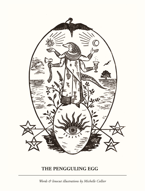

## **THE PENGGULING EGG**

*Words & linocut illustrations by Michelle Collier*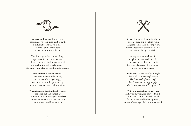

At deepest dusk, and I mid-sleep, three shadows creep cross umber earth Nocturnal beasts together meet at centre of the forest deep to herald in primeval birth.

The first, a gem-faced musky thing, sups nectar from a flower's crown The second, nose like leaf and winged, swoops low towards a scaly friend the third—and plucks grubs from the ground.

They whisper news from overseas a faceless hunter on the prowl, And speak of the elysian egg, which to the world a powder keg, bestowed to them from unknown fowl.

What phantoms face this band of three, the civet, bat and pangolin? Unbind them from their precious sleep to twine their fates with you and me and this new world we enter in.



When all at once, their quiet gloom by some great axe is cleft in twain The great oak of their meeting room, which once was as a mother's womb, becomes a bloody battlefield.

Asleep were we as chaos hit, though toddy cat was here before Has past not made us wise to it? No great plans carried, lain or writ to ferry us to safer shores.

Said Civet: *"Summon all your might that in this task you might prevail For I am made of fur too light And Bat cannot take eggs in flight But Manis, you have shield of scale."*

With one last look upon her 'stead and sweet farewell, for now, to friends, our Manis left the warmth of bed for unknown worlds that lay ahead, no wit of where gnarled paths might end.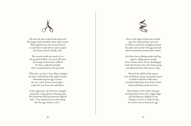Oh how the first world shook and raved like lungs made breathless from thick smoke What ghastly fears the doctors braved to tend their wards whose souls escaped the hunter and his deadly yoke.

The second world was made of ice, the ground all flesh, the wood all bones And empty houses there sufficed the slain, a ghostly paradise where sentinels protect the grounds.

*"What have we done?"* dear Manis dredged her heart and howled with saddest shame Remembering the egg at breast, she saw a bird at bone wood edge a phoenix rose from ash and flames.

At her approach, the bird now changed and spoke a long-drawn wheezing sigh The hoodwink bird had phoenix feigned! Said, *"I was stitched by nurse-like things, but that egg's mother is not I."*



Now at the edge of those first worlds, agin the odds had they survived So Manis turned her thoughts towards the path, and moved with egg forwards where hoodwink pointed fairer climes.

And there from ebbing smoke and fog, espied a village green emerge From whence there raved a demagogue And eels brewed wine and wheaty grog and glistened from their grassy verge.

Beyond the rabble of the square were workshops, house and garden green A mother lulled her baby there And dads baked pies from locks of hair And meditating monk was seen.

Then feathers weft of blue and grey swooped down from off a craggy ledge, and Kookaburra laughed to say, *"Though I am here to wake the day I'm not the cook to break your egg."*